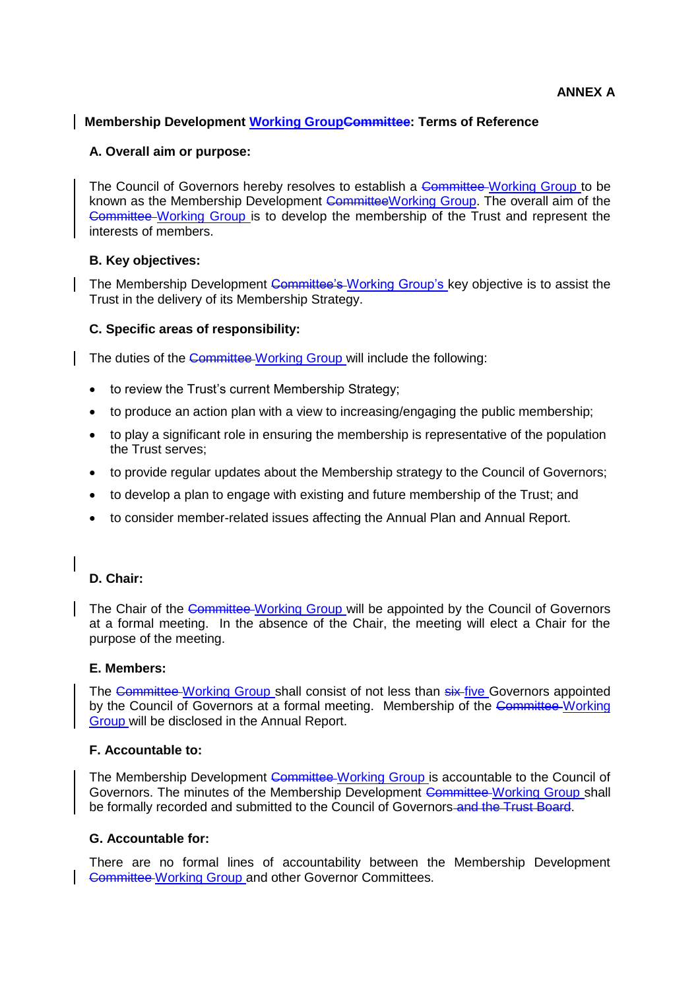## **Membership Development Working GroupCommittee: Terms of Reference**

## **A. Overall aim or purpose:**

The Council of Governors hereby resolves to establish a Committee-Working Group to be known as the Membership Development CommitteeWorking Group. The overall aim of the Committee Working Group is to develop the membership of the Trust and represent the interests of members.

# **B. Key objectives:**

The Membership Development Committee's Working Group's key objective is to assist the Trust in the delivery of its Membership Strategy.

# **C. Specific areas of responsibility:**

The duties of the Committee-Working Group will include the following:

- to review the Trust's current Membership Strategy;
- to produce an action plan with a view to increasing/engaging the public membership;
- to play a significant role in ensuring the membership is representative of the population the Trust serves;
- to provide regular updates about the Membership strategy to the Council of Governors;
- to develop a plan to engage with existing and future membership of the Trust; and
- to consider member-related issues affecting the Annual Plan and Annual Report.

# **D. Chair:**

The Chair of the Committee Working Group will be appointed by the Council of Governors at a formal meeting. In the absence of the Chair, the meeting will elect a Chair for the purpose of the meeting.

## **E. Members:**

The Committee Working Group shall consist of not less than six-five Governors appointed by the Council of Governors at a formal meeting. Membership of the Committee Working Group will be disclosed in the Annual Report.

## **F. Accountable to:**

The Membership Development Committee Working Group is accountable to the Council of Governors. The minutes of the Membership Development Committee Working Group shall be formally recorded and submitted to the Council of Governors-and the Trust Board.

## **G. Accountable for:**

There are no formal lines of accountability between the Membership Development Committee Working Group and other Governor Committees.